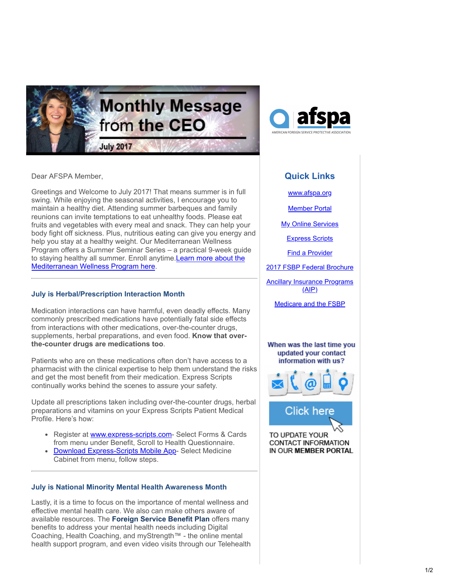



Dear AFSPA Member,

Greetings and Welcome to July 2017! That means summer is in full swing. While enjoying the seasonal activities, I encourage you to maintain a healthy diet. Attending summer barbeques and family reunions can invite temptations to eat unhealthy foods. Please eat fruits and vegetables with every meal and snack. They can help your body fight off sickness. Plus, nutritious eating can give you energy and help you stay at a healthy weight. Our Mediterranean Wellness Program offers a Summer Seminar Series – a practical 9-week guide [to staying healthy all summer. Enroll anytime.Learn more about the](https://www.willclower.com/FSBP/FSBPsummerseminarseries/?utm_source=Email_marketing_CEO_Message_July2017&utm_campaign=CEO_Message_July2017&cmp=1&utm_medium=HTMLEmail) Mediterranean Wellness Program here.

## **July is Herbal/Prescription Interaction Month**

Medication interactions can have harmful, even deadly effects. Many commonly prescribed medications have potentially fatal side effects from interactions with other medications, over-the-counter drugs, supplements, herbal preparations, and even food. **Know that overthe-counter drugs are medications too**.

Patients who are on these medications often don't have access to a pharmacist with the clinical expertise to help them understand the risks and get the most benefit from their medication. Express Scripts continually works behind the scenes to assure your safety.

Update all prescriptions taken including over-the-counter drugs, herbal preparations and vitamins on your Express Scripts Patient Medical Profile. Here's how:

- Register at [www.express-scripts.com](https://www.express-scripts.com/index.html?utm_source=Email_marketing_CEO_Message_July2017&utm_campaign=CEO_Message_July2017&cmp=1&utm_medium=HTMLEmail) Select Forms & Cards from menu under Benefit, Scroll to Health Questionnaire.
- [Download Express-Scripts Mobile App](https://www.express-scripts.com/consumer/site/home?partner=MOBI&accessLink=mobilevanurl&utm_source=Email_marketing_CEO_Message_July2017&utm_source=Email_marketing_CEO_Message_July2017&utm_campaign=CEO_Message_July2017&utm_campaign=CEO_Message_July2017&cmp=1&cmp=1&utm_medium=HTMLEmail&utm_medium=HTMLEmail&utm_source=Email_marketing_CEO_Message_July2017&utm_campaign=CEO_Message_July2017&cmp=1&utm_medium=HTMLEmail) Select Medicine  $\bullet$ Cabinet from menu, follow steps.

## **July is National Minority Mental Health Awareness Month**

Lastly, it is a time to focus on the importance of mental wellness and effective mental health care. We also can make others aware of available resources. The **Foreign Service Benefit Plan** offers many benefits to address your mental health needs including Digital Coaching, Health Coaching, and myStrength™ - the online mental health support program, and even video visits through our Telehealth

## **Quick Links**

[www.afspa.org](http://www.afspa.org/?utm_source=Email_marketing_CEO_Message_May2017&utm_campaign=Monday_April_24_2017&cmp=1&utm_medium=HTMLEmail)

[Member Portal](https://secure.myafspa.org/?utm_source=Email_marketing_CEO_Message_May2017&utm_campaign=Monday_April_24_2017&cmp=1&utm_medium=HTMLEmail)

**[My Online Services](https://member.cvty.com/memberPortalWeb/appmanager/memberPortal/member?utm_source=Email_marketing_CEO_Message_May2017&utm_campaign=Monday_April_24_2017&cmp=1&utm_medium=HTMLEmail)** 

[Express Scripts](https://www.express-scripts.com/consumer/site/home?partner=FSBP&accessLink=FSBPDCC&utm_source=Email_marketing_CEO_Message_May2017&utm_source=Email_marketing_CEO_Message_May2017&utm_source=Email_marketing_CEO_Message_May2017&utm_source=Email_marketing_CEO_Message_June2017&utm_source=Email_marketing_CEO_Message_June2017&utm_source=Email_marketing_CEO_Message_June2017&utm_source=Email_marketing_CEO_Message_June2017&utm_source=Email_marketing_CEO_Message_June2017&utm_source=Email_marketing_CEO_Message_July2017&utm_source=Email_marketing_CEO_Message_July2017&utm_campaign=Monday_April_24_2017&utm_campaign=Monday_April_24_2017&utm_campaign=CEO_Message_May_2017&utm_campaign=CEO_Message_June2017&utm_campaign=CEO_Message_June2017&utm_campaign=CEO_Message_June2017&utm_campaign=CEO_Message_June2017&utm_campaign=CEO_Message_June2017&utm_campaign=CEO_Message_July2017&utm_campaign=CEO_Message_July2017&cmp=1&cmp=1&cmp=1&cmp=1&cmp=1&cmp=1&cmp=1&cmp=1&cmp=1&cmp=1&utm_medium=HTMLEmail&utm_medium=HTMLEmail&utm_medium=HTMLEmail&utm_medium=HTMLEmail&utm_medium=HTMLEmail&utm_medium=HTMLEmail&utm_medium=HTMLEmail&utm_medium=HTMLEmail&utm_medium=HTMLEmail&utm_medium=HTMLEmail&utm_source=Email_marketing_CEO_Message_July2017&utm_campaign=CEO_Message_July2017&cmp=1&utm_medium=HTMLEmail)

[Find a Provider](http://fsbp.coventryhealthcare.com/member-support/locate-a-provider/index.htm?utm_source=Email_marketing_CEO_Message_May2017&utm_campaign=Monday_April_24_2017&cmp=1&utm_medium=HTMLEmail)

[2017 FSBP Federal Brochure](https://www.afspa.org/filestoreAFSPA/2017RI72-001FSBPBrochure.pdf?utm_source=Email_marketing_CEO_Message_May2017&utm_campaign=Monday_April_24_2017&cmp=1&utm_medium=HTMLEmail)

[Ancillary Insurance Programs](https://www.afspa.org/aip_home.cfm?utm_source=Email_marketing_CEO_Message_May2017&utm_campaign=Monday_April_24_2017&cmp=1&utm_medium=HTMLEmail)  $(AIP)$ 

[Medicare and the FSBP](https://www.afspa.org/filestoreAFSPA/FSBP-17MedicareBooklet.pdf?utm_source=Email_marketing_CEO_Message_June2017&utm_campaign=CEO_Message_June2017&cmp=1&utm_medium=HTMLEmail)

When was the last time you updated your contact information with us?





TO UPDATE YOUR **CONTACT INFORMATION** IN OUR MEMBER PORTAL